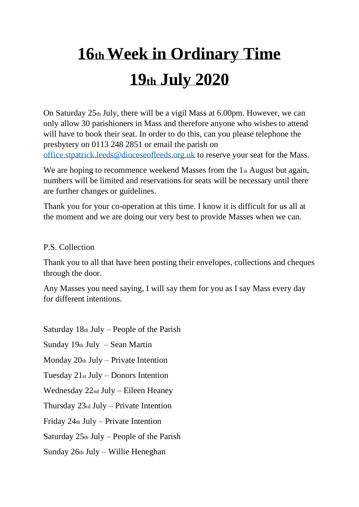## **16th Week in Ordinary Time 19th July 2020**

On Saturday  $25<sub>th</sub>$  July, there will be a vigil Mass at 6.00pm. However, we can only allow 30 parishioners in Mass and therefore anyone who wishes to attend will have to book their seat. In order to do this, can you please telephone the presbytery on 0113 248 2851 or email the parish on [office.stpatrick.leeds@dioceseofleeds.org.uk](mailto:office.stpatrick.leeds@dioceseofleeds.org.uk) to reserve your seat for the Mass.

We are hoping to recommence weekend Masses from the 1st August but again, numbers will be limited and reservations for seats will be necessary until there are further changes or guidelines.

Thank you for your co-operation at this time. I know it is difficult for us all at the moment and we are doing our very best to provide Masses when we can.

## P.S. Collection

Thank you to all that have been posting their envelopes, collections and cheques through the door.

Any Masses you need saying, I will say them for you as I say Mass every day for different intentions.

Saturday  $18<sub>th</sub>$  July – People of the Parish

Sunday 19th July – Sean Martin

Monday  $20<sub>th</sub>$  July – Private Intention

Tuesday 21st July – Donors Intention

Wednesday 22nd July – Eileen Heaney

Thursday 23rd July – Private Intention

Friday 24th July – Private Intention

Saturday  $25<sub>th</sub>$  July – People of the Parish

Sunday 26th July – Willie Heneghan